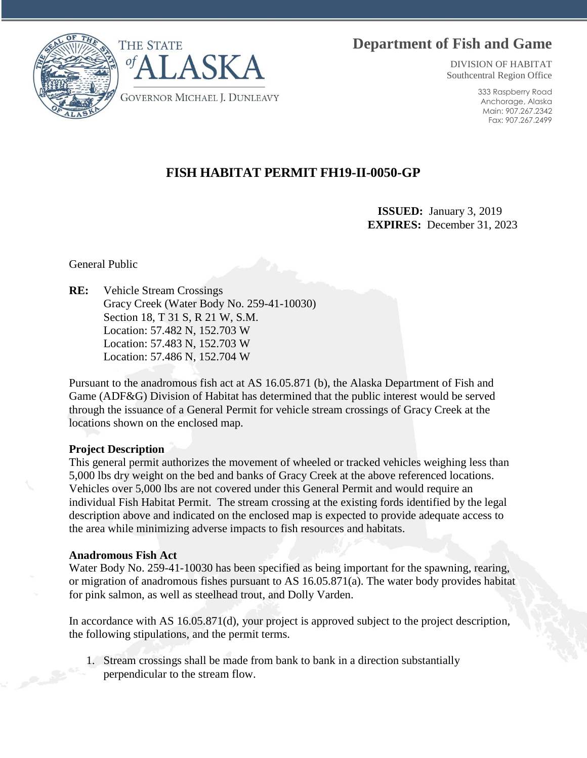# **Department of Fish and Game**



DIVISION OF HABITAT Southcentral Region Office

> 333 Raspberry Road Anchorage, Alaska Main: 907.267.2342 Fax: 907.267.2499

# **FISH HABITAT PERMIT FH19-II-0050-GP**

 **ISSUED:** January 3, 2019 **EXPIRES:** December 31, 2023

General Public

**RE:** Vehicle Stream Crossings Gracy Creek (Water Body No. 259-41-10030) Section 18, T 31 S, R 21 W, S.M. Location: 57.482 N, 152.703 W Location: 57.483 N, 152.703 W Location: 57.486 N, 152.704 W

Pursuant to the anadromous fish act at AS 16.05.871 (b), the Alaska Department of Fish and Game (ADF&G) Division of Habitat has determined that the public interest would be served through the issuance of a General Permit for vehicle stream crossings of Gracy Creek at the locations shown on the enclosed map.

## **Project Description**

This general permit authorizes the movement of wheeled or tracked vehicles weighing less than 5,000 lbs dry weight on the bed and banks of Gracy Creek at the above referenced locations. Vehicles over 5,000 lbs are not covered under this General Permit and would require an individual Fish Habitat Permit. The stream crossing at the existing fords identified by the legal description above and indicated on the enclosed map is expected to provide adequate access to the area while minimizing adverse impacts to fish resources and habitats.

## **Anadromous Fish Act**

Water Body No. 259-41-10030 has been specified as being important for the spawning, rearing, or migration of anadromous fishes pursuant to AS 16.05.871(a). The water body provides habitat for pink salmon, as well as steelhead trout, and Dolly Varden.

In accordance with AS 16.05.871(d), your project is approved subject to the project description, the following stipulations, and the permit terms.

1. Stream crossings shall be made from bank to bank in a direction substantially perpendicular to the stream flow.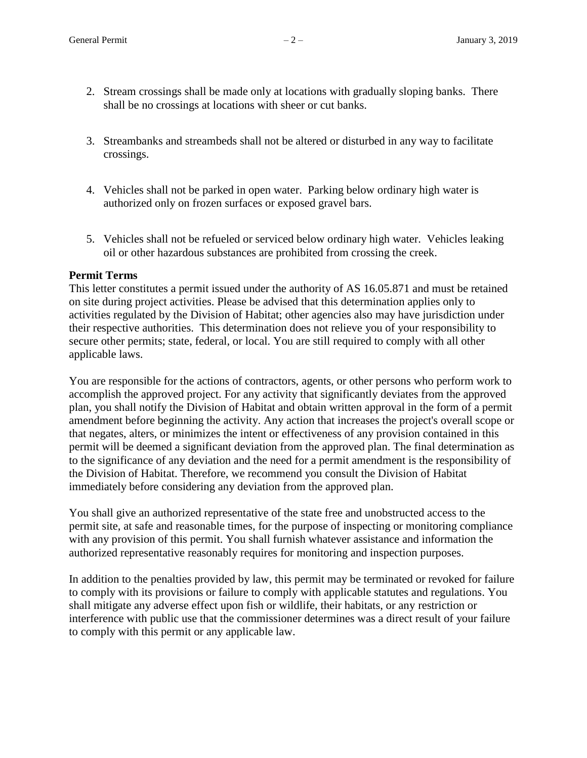- 2. Stream crossings shall be made only at locations with gradually sloping banks. There shall be no crossings at locations with sheer or cut banks.
- 3. Streambanks and streambeds shall not be altered or disturbed in any way to facilitate crossings.
- 4. Vehicles shall not be parked in open water. Parking below ordinary high water is authorized only on frozen surfaces or exposed gravel bars.
- 5. Vehicles shall not be refueled or serviced below ordinary high water. Vehicles leaking oil or other hazardous substances are prohibited from crossing the creek.

# **Permit Terms**

This letter constitutes a permit issued under the authority of AS 16.05.871 and must be retained on site during project activities. Please be advised that this determination applies only to activities regulated by the Division of Habitat; other agencies also may have jurisdiction under their respective authorities. This determination does not relieve you of your responsibility to secure other permits; state, federal, or local. You are still required to comply with all other applicable laws.

You are responsible for the actions of contractors, agents, or other persons who perform work to accomplish the approved project. For any activity that significantly deviates from the approved plan, you shall notify the Division of Habitat and obtain written approval in the form of a permit amendment before beginning the activity. Any action that increases the project's overall scope or that negates, alters, or minimizes the intent or effectiveness of any provision contained in this permit will be deemed a significant deviation from the approved plan. The final determination as to the significance of any deviation and the need for a permit amendment is the responsibility of the Division of Habitat. Therefore, we recommend you consult the Division of Habitat immediately before considering any deviation from the approved plan.

You shall give an authorized representative of the state free and unobstructed access to the permit site, at safe and reasonable times, for the purpose of inspecting or monitoring compliance with any provision of this permit. You shall furnish whatever assistance and information the authorized representative reasonably requires for monitoring and inspection purposes.

In addition to the penalties provided by law, this permit may be terminated or revoked for failure to comply with its provisions or failure to comply with applicable statutes and regulations. You shall mitigate any adverse effect upon fish or wildlife, their habitats, or any restriction or interference with public use that the commissioner determines was a direct result of your failure to comply with this permit or any applicable law.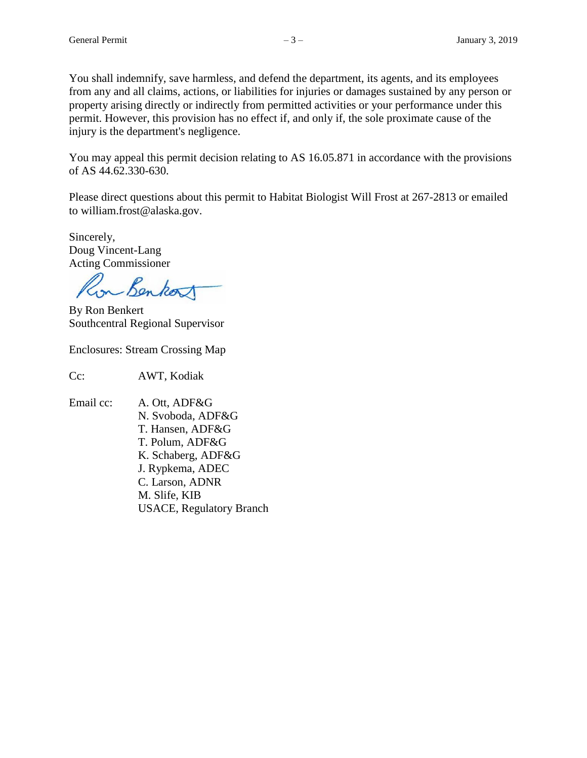You shall indemnify, save harmless, and defend the department, its agents, and its employees from any and all claims, actions, or liabilities for injuries or damages sustained by any person or property arising directly or indirectly from permitted activities or your performance under this permit. However, this provision has no effect if, and only if, the sole proximate cause of the injury is the department's negligence.

You may appeal this permit decision relating to AS 16.05.871 in accordance with the provisions of AS 44.62.330-630.

Please direct questions about this permit to Habitat Biologist Will Frost at 267-2813 or emailed to william.frost@alaska.gov.

Sincerely, Doug Vincent-Lang Acting Commissioner

Benkor

By Ron Benkert Southcentral Regional Supervisor

Enclosures: Stream Crossing Map

Cc: AWT, Kodiak

Email cc: A. Ott, ADF&G N. Svoboda, ADF&G T. Hansen, ADF&G T. Polum, ADF&G K. Schaberg, ADF&G J. Rypkema, ADEC C. Larson, ADNR M. Slife, KIB USACE, Regulatory Branch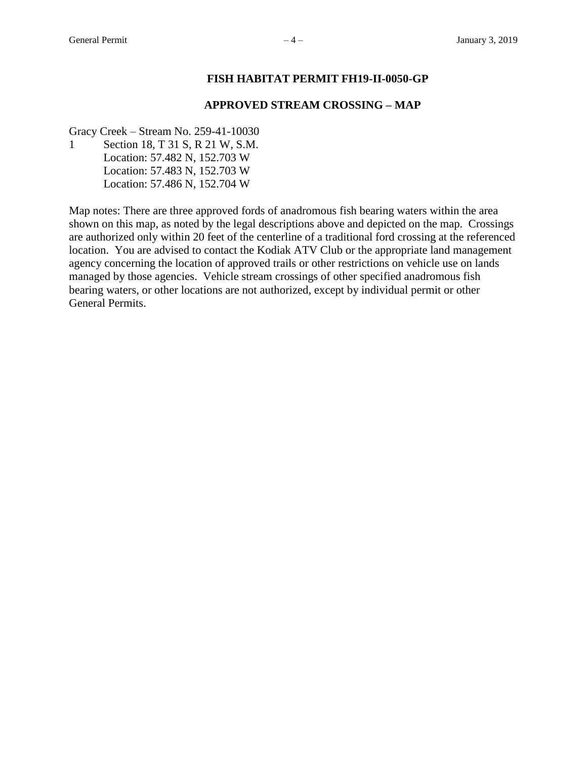## **FISH HABITAT PERMIT FH19-II-0050-GP**

#### **APPROVED STREAM CROSSING – MAP**

Gracy Creek – Stream No. 259-41-10030

1 Section 18, T 31 S, R 21 W, S.M. Location: 57.482 N, 152.703 W Location: 57.483 N, 152.703 W Location: 57.486 N, 152.704 W

Map notes: There are three approved fords of anadromous fish bearing waters within the area shown on this map, as noted by the legal descriptions above and depicted on the map. Crossings are authorized only within 20 feet of the centerline of a traditional ford crossing at the referenced location. You are advised to contact the Kodiak ATV Club or the appropriate land management agency concerning the location of approved trails or other restrictions on vehicle use on lands managed by those agencies. Vehicle stream crossings of other specified anadromous fish bearing waters, or other locations are not authorized, except by individual permit or other General Permits.